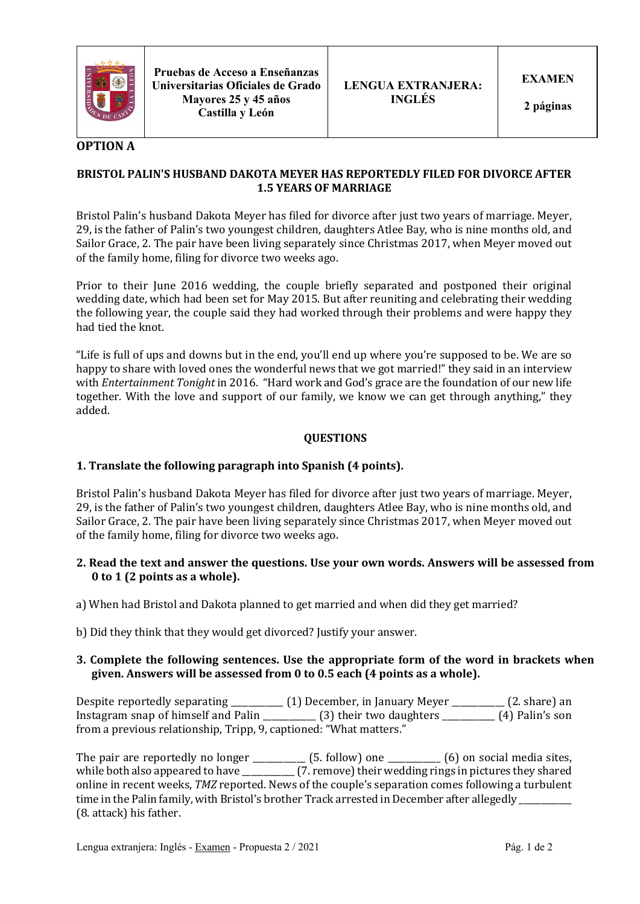

**Pruebas de Acceso a Enseñanzas Universitarias Oficiales de Grado Mayores 25 y 45 años Castilla y León**

# **OPTION A**

### **BRISTOL PALIN'S HUSBAND DAKOTA MEYER HAS REPORTEDLY FILED FOR DIVORCE AFTER 1.5 YEARS OF MARRIAGE**

Bristol Palin's husband Dakota Meyer has filed for divorce after just two years of marriage. Meyer, 29, is the father of Palin's two voungest children, daughters Atlee Bay, who is nine months old, and Sailor Grace, 2. The pair have been living separately since Christmas 2017, when Meyer moved out of the family home, filing for divorce two weeks ago.

Prior to their June 2016 wedding, the couple briefly separated and postponed their original wedding date, which had been set for May 2015. But after reuniting and celebrating their wedding the following year, the couple said they had worked through their problems and were happy they had tied the knot.

"Life is full of ups and downs but in the end, you'll end up where you're supposed to be. We are so happy to share with loved ones the wonderful news that we got married!" they said in an interview with *Entertainment Tonight* in 2016. "Hard work and God's grace are the foundation of our new life together. With the love and support of our family, we know we can get through anything," they added.

### **QUESTIONS**

# **1.** Translate the following paragraph into Spanish (4 points).

Bristol Palin's husband Dakota Meyer has filed for divorce after just two years of marriage. Meyer, 29, is the father of Palin's two youngest children, daughters Atlee Bay, who is nine months old, and Sailor Grace, 2. The pair have been living separately since Christmas 2017, when Meyer moved out of the family home, filing for divorce two weeks ago.

- **2.** Read the text and answer the questions. Use your own words. Answers will be assessed from **0** to 1 (2 points as a whole).
- a) When had Bristol and Dakota planned to get married and when did they get married?
- b) Did they think that they would get divorced? Justify your answer.

#### **3. Complete the following sentences. Use the appropriate form of the word in brackets when** given. Answers will be assessed from 0 to 0.5 each (4 points as a whole).

Despite reportedly separating \_\_\_\_\_\_\_\_\_\_\_ (1) December, in January Meyer \_\_\_\_\_\_\_\_\_\_ (2. share) an Instagram snap of himself and Palin \_\_\_\_\_\_\_\_\_\_\_\_ (3) their two daughters \_\_\_\_\_\_\_\_\_\_\_\_ (4) Palin's son from a previous relationship, Tripp, 9, captioned: "What matters."

The pair are reportedly no longer \_\_\_\_\_\_\_\_\_\_  $(5.$  follow) one \_\_\_\_\_\_\_\_\_  $(6)$  on social media sites, while both also appeared to have \_\_\_\_\_\_\_\_\_\_\_\_ (7. remove) their wedding rings in pictures they shared online in recent weeks, *TMZ* reported. News of the couple's separation comes following a turbulent time in the Palin family, with Bristol's brother Track arrested in December after allegedly (8. attack) his father.